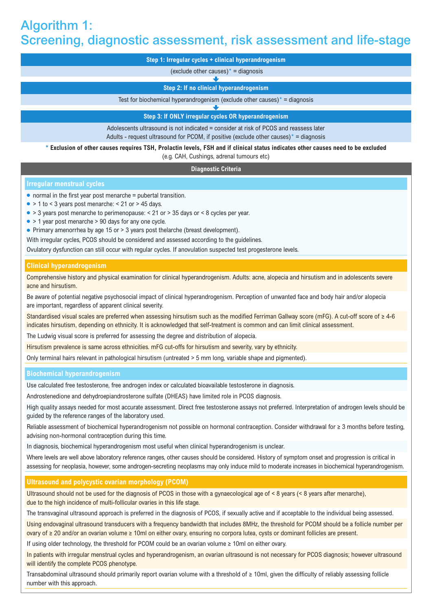# Algorithm 1: Screening, diagnostic assessment, risk assessment and life-stage

| Step 1: Irregular cycles + clinical hyperandrogenism                                  |
|---------------------------------------------------------------------------------------|
| (exclude other causes) $* =$ diagnosis                                                |
|                                                                                       |
| Step 2: If no clinical hyperandrogenism                                               |
| Test for biochemical hyperandrogenism (exclude other causes) $* =$ diagnosis          |
|                                                                                       |
| Step 3: If ONLY irregular cycles OR hyperandrogenism                                  |
| Adolescents ultrasound is not indicated = consider at risk of PCOS and reassess later |

Adults - request ultrasound for PCOM, if positive (exclude other causes) $* =$  diagnosis

## **\* Exclusion of other causes requires TSH, Prolactin levels, FSH and if clinical status indicates other causes need to be excluded**

(e.g. CAH, Cushings, adrenal tumours etc)

#### **Diagnostic Criteria**

## **Irregular menstrual cycles**

- $\bullet$  normal in the first vear post menarche = pubertal transition.
- $\bullet$  > 1 to < 3 years post menarche: < 21 or > 45 days.
- > 3 years post menarche to perimenopause: < 21 or > 35 days or < 8 cycles per year.
- > 1 year post menarche > 90 days for any one cycle.
- Primary amenorrhea by age 15 or > 3 years post thelarche (breast development).
- With irregular cycles, PCOS should be considered and assessed according to the guidelines.

Ovulatory dysfunction can still occur with regular cycles. If anovulation suspected test progesterone levels.

## **Clinical hyperandrogenism**

Comprehensive history and physical examination for clinical hyperandrogenism. Adults: acne, alopecia and hirsutism and in adolescents severe acne and hirsutism.

Be aware of potential negative psychosocial impact of clinical hyperandrogenism. Perception of unwanted face and body hair and/or alopecia are important, regardless of apparent clinical severity.

Standardised visual scales are preferred when assessing hirsutism such as the modified Ferriman Gallway score (mFG). A cut-off score of ≥ 4-6 indicates hirsutism, depending on ethnicity. It is acknowledged that self-treatment is common and can limit clinical assessment.

The Ludwig visual score is preferred for assessing the degree and distribution of alopecia.

Hirsutism prevalence is same across ethnicities. mFG cut-offs for hirsutism and severity, vary by ethnicity.

Only terminal hairs relevant in pathological hirsutism (untreated > 5 mm long, variable shape and pigmented).

#### **Biochemical hyperandrogenism**

Use calculated free testosterone, free androgen index or calculated bioavailable testosterone in diagnosis.

Androstenedione and dehydroepiandrosterone sulfate (DHEAS) have limited role in PCOS diagnosis.

High quality assays needed for most accurate assessment. Direct free testosterone assays not preferred. Interpretation of androgen levels should be guided by the reference ranges of the laboratory used.

Reliable assessment of biochemical hyperandrogenism not possible on hormonal contraception. Consider withdrawal for ≥ 3 months before testing, advising non-hormonal contraception during this time.

In diagnosis, biochemical hyperandrogenism most useful when clinical hyperandrogenism is unclear.

Where levels are well above laboratory reference ranges, other causes should be considered. History of symptom onset and progression is critical in assessing for neoplasia, however, some androgen-secreting neoplasms may only induce mild to moderate increases in biochemical hyperandrogenism.

## **Ultrasound and polycystic ovarian morphology (PCOM)**

Ultrasound should not be used for the diagnosis of PCOS in those with a gynaecological age of < 8 years (< 8 years after menarche), due to the high incidence of multi-follicular ovaries in this life stage.

The transvaginal ultrasound approach is preferred in the diagnosis of PCOS, if sexually active and if acceptable to the individual being assessed.

Using endovaginal ultrasound transducers with a frequency bandwidth that includes 8MHz, the threshold for PCOM should be a follicle number per ovary of ≥ 20 and/or an ovarian volume ≥ 10ml on either ovary, ensuring no corpora lutea, cysts or dominant follicles are present.

If using older technology, the threshold for PCOM could be an ovarian volume ≥ 10ml on either ovary.

In patients with irregular menstrual cycles and hyperandrogenism, an ovarian ultrasound is not necessary for PCOS diagnosis; however ultrasound will identify the complete PCOS phenotype.

Transabdominal ultrasound should primarily report ovarian volume with a threshold of ≥ 10ml, given the difficulty of reliably assessing follicle number with this approach.